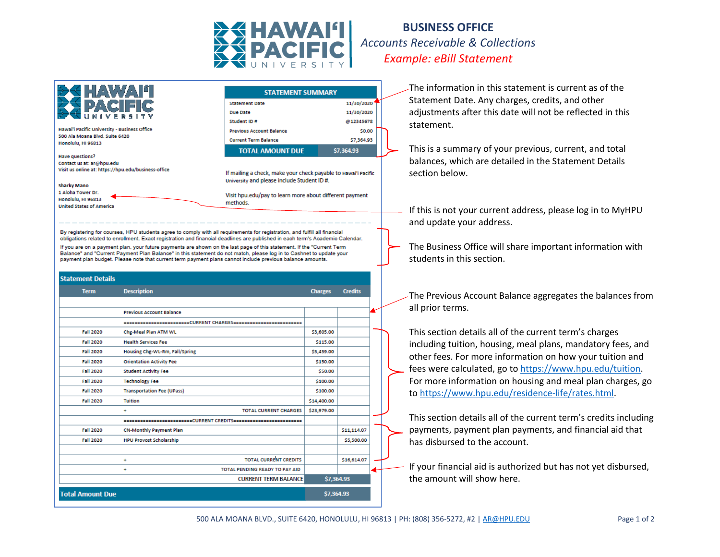



**Hawai'i Pacific University - Business Office** 500 Ala Moana Blvd, Suite 6420 Honolulu, HI 96813

Have questions? Contact us at: ar@hpu.edu Visit us online at: https://hpu.edu/business-office

**Sharky Mano** 1 Aloha Tower Dr. Honolulu, HI 96813 **United States of America** 

| <b>STATEMENT SUMMARY</b>        |            |  |  |  |
|---------------------------------|------------|--|--|--|
| <b>Statement Date</b>           | 11/30/2020 |  |  |  |
| Due Date                        | 11/30/2020 |  |  |  |
| Student ID#                     | @12345678  |  |  |  |
| <b>Previous Account Balance</b> | \$0.00     |  |  |  |
| <b>Current Term Balance</b>     | \$7,364.93 |  |  |  |
| <b>TOTAL AMOUNT DUE</b>         | \$7,364.93 |  |  |  |
|                                 |            |  |  |  |

If mailing a check, make your check payable to Hawai'i Pacific University and please include Student ID#.

Visit hpu.edu/pay to learn more about different payment methods.

By registering for courses, HPU students agree to comply with all requirements for registration, and fulfill all financial obligations related to enrollment. Exact registration and financial deadlines are published in each term's Academic Calendar

If you are on a payment plan, your future payments are shown on the last page of this statement. If the "Current Term Balance" and "Current Payment Plan Balance" in this statement do not match, please log in to Cashnet to update your payment plan budget. Please note that current term payment plans cannot include previous balance amounts.

## **Statement Details**

| <b>Term</b>             | <b>Description</b>                                                 | <b>Charges</b> | <b>Credits</b> |
|-------------------------|--------------------------------------------------------------------|----------------|----------------|
|                         |                                                                    |                |                |
|                         | <b>Previous Account Balance</b>                                    |                |                |
|                         | =======================CURRENT CHARGES==============               |                |                |
| <b>Fall 2020</b>        | Chg-Meal Plan ATM WL                                               | \$3,605.00     |                |
| <b>Fall 2020</b>        | <b>Health Services Fee</b>                                         | \$115.00       |                |
| <b>Fall 2020</b>        | Housing Chg-WL-Rm, Fall/Spring                                     | \$5,459.00     |                |
| <b>Fall 2020</b>        | <b>Orientation Activity Fee</b>                                    | \$150.00       |                |
| <b>Fall 2020</b>        | <b>Student Activity Fee</b>                                        | \$50.00        |                |
| <b>Fall 2020</b>        | <b>Technology Fee</b>                                              | \$100.00       |                |
| <b>Fall 2020</b>        | <b>Transportation Fee (UPass)</b>                                  | \$100.00       |                |
| <b>Fall 2020</b>        | <b>Tuition</b>                                                     | \$14,400.00    |                |
|                         | <b>TOTAL CURRENT CHARGES</b><br>÷                                  | \$23,979.00    |                |
|                         | =========================CURRENT CREDITS========================== |                |                |
| <b>Fall 2020</b>        | <b>CN-Monthly Payment Plan</b>                                     |                | \$11,114.07    |
| <b>Fall 2020</b>        | <b>HPU Provost Scholarship</b>                                     |                | \$5,500.00     |
|                         |                                                                    |                |                |
|                         | <b>TOTAL CURRENT CREDITS</b><br>÷                                  |                | \$16,614.07    |
|                         | TOTAL PENDING READY TO PAY AID<br>÷                                |                |                |
|                         | <b>CURRENT TERM BALANCE</b>                                        |                | \$7,364.93     |
| <b>Total Amount Due</b> |                                                                    | \$7,364.93     |                |

**BUSINESS OFFICE** *Accounts Receivable & Collections Example: eBill Statement*

> The information in this statement is current as of the Statement Date. Any charges, credits, and other adjustments after this date will not be reflected in this statement.

This is a summary of your previous, current, and total balances, which are detailed in the Statement Details section below.

If this is not your current address, please log in to MyHPU and update your address.

The Business Office will share important information with students in this section.

The Previous Account Balance aggregates the balances from all prior terms.

This section details all of the current term's charges including tuition, housing, meal plans, mandatory fees, and other fees. For more information on how your tuition and fees were calculated, go to [https://www.hpu.edu/tuition.](https://www.hpu.edu/tuition) For more information on housing and meal plan charges, go to [https://www.hpu.edu/residence-life/rates.html.](https://www.hpu.edu/residence-life/rates.html) 

This section details all of the current term's credits including payments, payment plan payments, and financial aid that has disbursed to the account.

If your financial aid is authorized but has not yet disbursed, the amount will show here.